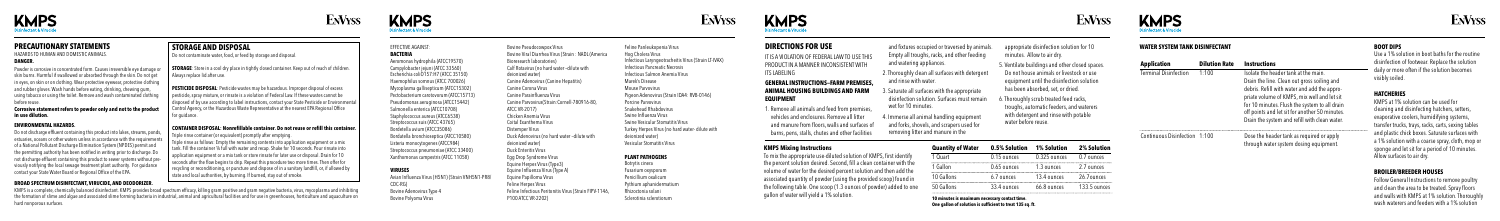#### EFFECTIVE AGAINST: **BACTERIA**

Aeromonas hydrophila (ATCC19570) Campylobacter jejuni (ATCC 33560) Escherichia coliO157:H7 (ATCC 35150) Haemophilus somnus (ATCC 700026) Mycoplasma gallisepticum (ATCC15302) Pectobacterium carotovorum (ATCC15713) Pseudomonas aeruginosa (ATCC15442) Salmonella enterica (ATCC10708) Staphylococcus aureus (ATCC6538) Streptococcus suis (ATCC 43765) Bordetella avium (ATCC35086) Bordatella bronchioseptica (ATCC10580) Listeria monocytogenes (ATCC984) Streptococcus pneumoniae (ATCC 33400) Xanthomonas campestris (ATCC 11058)

Bovine Pseudocowpox Virus Bovine Viral Diarrhea Virus (Strain : NADL (America Bioresearch laboratories) Calf Rotavirus (no hard water –dilute with deionized water) Canine Adenovirus (Canine Hepatitis) Canine Corona Virus Canine Parainfluenza Virus Canine Parvovirus(Strain:Cornell-780916-80, ATCC VR-2017) Chicken Anemia Virus Coital Exanthema Virus Distemper Virus Duck Adenovirus (no hard water –dilute with deionized water) Duck Enteritis Virus Egg Drop Syndrome Virus Equine Herpes Virus (Type3) Equine Influenza Virus (Type A) Equine Papilloma Virus Feline Herpes Virus Feline Infectious Peritonitis Virus (Strain FIPV-11

# **VIRUSES**

Avian Influenza Virus (H5N1) (Strain VNH5N1-PR8/ CDC-RG) Bovine Adenovirus Type 4 Bovine Polyoma Virus

P100 ATCC VR-2202)

Feline Panleukopenia Virus Hog Cholera Virus Infectious Laryngeotracheitis Virus (Strain LT-IVAX) Infectious Pancreatic Necrosis Infectious Salmon Anemia Virus Marek's Disease Mouse Parvovirus Pigeon Adenovirus (Strain IDA4: RVB-0146) Porcine Parvovirus Snakehead Rhabdovirus Swine Influenza Virus Swine Vesicular Stomatitis Virus Turkey Herpes Virus (no hard water- dilute with deionized water) Vesicular Stomatitis Virus

IT IS A VIOLATION OF FEDERAL LAW TO USE TH PRODUCT IN A MANNER INCONSISTENT WITH ITS LABELING

#### **PLANT PATHOGENS**

Botrytis cinera Fusarium oxysporum Penicillium oxalicum Pythium aphanidermatium Rhizoctonia solani Sclerotinia sclerotiorum

# **ENVYSS**



EnVyss







# **PRECAUTIONARY STATEMENTS**

#### HAZARDS TO HUMAN AND DOMESTIC ANIMALS. **DANGER.**

Powder is corrosive in concentrated form. Causes irreversible eye damage or skin burns. Harmful if swallowed or absorbed through the skin. Do not get in eyes, on skin or on clothing. Wear protective eyewear, protective clothing and rubber gloves. Wash hands before eating, drinking, chewing gum, using tobacco or using the toilet. Remove and wash contaminated clothing before reuse.

#### **Corrosive statement refers to powder only and not to the product in use dilution.**

#### **ENVIRONMENTAL HAZARDS.**

Do not discharge effluent containing this product into lakes, streams, ponds, estuaries, oceans or other waters unless in accordance with the requirements of a National Pollutant Discharge Elimination System (NPDES) permit and the permitting authority has been notified in writing prior to discharge. Do not discharge effluent containing this product to sewer systems without previously notifying the local sewage treatment plant authority. For guidance contact your State Water Board or Regional Office of the EPA.

# **DIRECTIONS FOR USE**

## **GENERAL INSTRUCTIONS—FARM PREMISES, ANIMAL HOUSING BUILDINGS AND FARM EQUIPMENT**

**STORAGE:** Store in a cool dry place in tightly closed container. Keep out of reach of children. Always replace lid after use.

> 1. Remove all animals and feed from premises, vehicles and enclosures. Remove all litter and manure from floors, walls and surfaces of barns, pens, stalls, chutes and other facilities

**PESTICIDE DISPOSAL:** Pesticide wastes may be hazardous. Improper disposal of excess pesticide, spray mixture, or rinsate is a violation of Federal Law. If these wastes cannot be disposed of by use according to label instructions, contact your State Pesticide or Environment. Control Agency, or the Hazardous Waste Representative at the nearest EPA Regional Office for guidance.

- and fixtures occupied or traversed by animals. Empty all troughs, racks, and other feeding and watering appliances.
- 2. Thoroughly clean all surfaces with deterger and rinse with water.
- Saturate all surfaces with the appropriate disinfection solution. Surfaces must remain wet for 10 minutes.
- 4. Immerse all animal handling equipment and forks, shovels, and scrapers used for removing litter and manure in the

# **KMPS Mixing Instructions**

To mix the appropriate use-diluted solution of KMPS, first identify the percent solution desired. Second, fill a clean container with the volume of water for the desired percent solution and then add the associated quantity of powder (using the provided scoop) found in the following table. One scoop (1.3 ounces of powder) added to one gallon of water will yield a 1% solution.

- appropriate disinfection solution for 10 minutes. Allow to air dry.
- 5. Ventilate buildings and other closed spaces. Do not house animals or livestock or use equipment until the disinfection solution has been absorbed, set, or dried.
- . Thoroughly scrub treated feed racks, troughs, automatic feeders, and waterers with detergent and rinse with potable water before reuse.

| Quantity of Water | 0.5% Solution | 1% Solution    | 2% Solution  |
|-------------------|---------------|----------------|--------------|
| 1 Quart           | 0.15 ounces   | $0.325$ ounces | 0.7 ounces   |
| 1 Gallon          | $0.65$ ounces | 1.3 ounces     | 2.7 ounces   |
| 10 Gallons        | 6.7 ounces    | 13.4 ounces    | 26.7ounces   |
| 50 Gallons        | 33.4 ounces   | 66.8 ounces    | 133.5 ounces |

**10 minutes is maximum necessary contact time. One gallon of solution is sufficient to treat 135 sq. ft.** 







| Application                   | <b>Dilution Rate</b> | <b>Instructions</b>                                                                                                                                                                                                                                                                                                                    |
|-------------------------------|----------------------|----------------------------------------------------------------------------------------------------------------------------------------------------------------------------------------------------------------------------------------------------------------------------------------------------------------------------------------|
| Terminal Disinfection         | 1:100                | Isolate the header tank at the main.<br>Drain the line. Clean out gross soiling and<br>debris. Refill with water and add the appro-<br>priate volume of KMPS, mix well and let sit<br>for 10 minutes. Flush the system to all drain<br>off points and let sit for another 50 minutes.<br>Drain the system and refill with clean water. |
| Continuous Disinfection 1:100 |                      | Dose the header tank as required or apply<br>through water system dosing equipment.                                                                                                                                                                                                                                                    |

# **WATER SYSTEM TANK DISINFECTANT BOOT DIPS**

**KMPS** 

Use a 1% solution in boot baths for the routine disinfection of footwear. Replace the solution daily or more often if the solution becomes visibly soiled.

### **HATCHERIES**

KMPS at 1% solution can be used for cleaning and disinfecting hatchers, setters, evaporative coolers, humidifying systems, transfer trucks, trays, racks, carts, sexing tables and plastic chick boxes. Saturate surfaces with a 1% solution with a coarse spray, cloth, mop or sponge and let sit for a period of 10 minutes. Allow surfaces to air dry.

### **BROILER/BREEDER HOUSES**

Follow General Instructions to remove poultry and clean the area to be treated. Spray floors and walls with KMPS at 1% solution. Thoroughly wash waterers and feeders with a 1% solution

# **STORAGE AND DISPOSAL**

Do not contaminate water, food, or feed by storage and disposal.

# **CONTAINER DISPOSAL: Nonrefillable container. Do not reuse or refill this container.**

Triple rinse container (or equivalent) promptly after emptying.

Triple rinse as follows: Empty the remaining contents into application equipment or a mix tank. Fill the container ¼ full with water and recap. Shake for 10 seconds. Pour rinsate into application equipment or a mix tank or store rinsate for later use or disposal. Drain for 10 seconds after the flow begins to drip. Repeat this procedure two more times. Then offer for recycling or reconditioning, or puncture and dispose of in a sanitary landfill, or, if allowed by state and local authorities, by burning. If burned, stay out of smoke.

#### **BROAD SPECTRUM DISINFECTANT, VIRUCIDE, AND DEODORIZER.**

KMPS is a complete, chemically balanced disinfectant. KMPS provides broad spectrum efficacy, killing gram positive and gram negative bacteria, virus, mycoplasma and inhibiting the formation of slime and algae and associated slime forming bacteria in industrial, animal and agricultural facilities and for use in greenhouses, horticulture and aquaculture on hard nonporous surfaces.